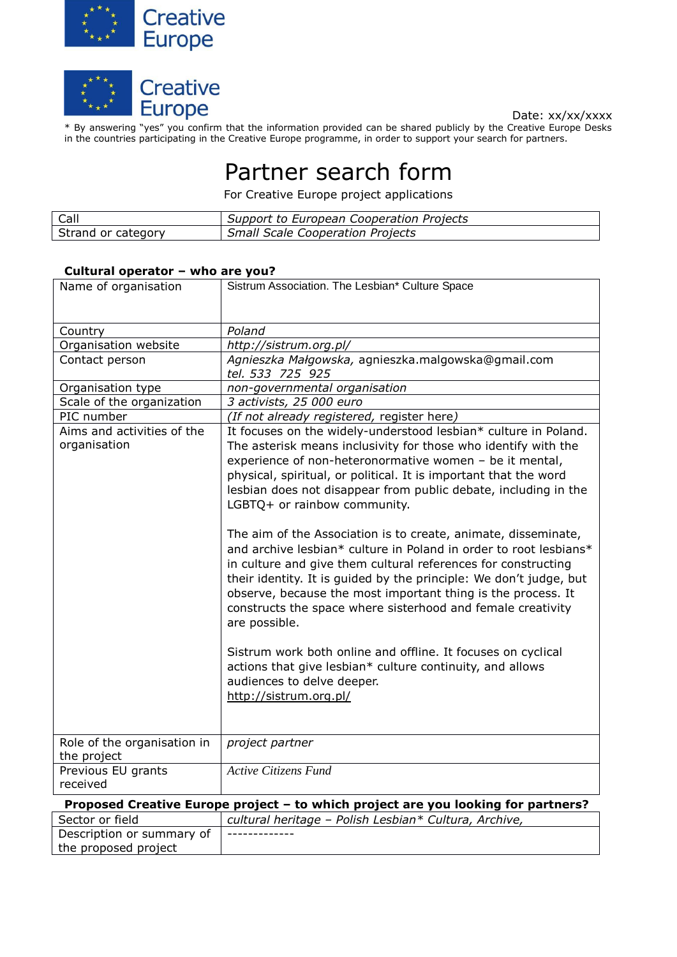



Date: xx/xx/xxxx

\* By answering "yes" you confirm that the information provided can be shared publicly by the Creative Europe Desks in the countries participating in the Creative Europe programme, in order to support your search for partners.

## Partner search form

For Creative Europe project applications

| Call               | Support to European Cooperation Projects |
|--------------------|------------------------------------------|
| Strand or category | Small Scale Cooperation Projects         |

## **Cultural operator – who are you?**

| Name of organisation                                                              | Sistrum Association. The Lesbian* Culture Space                                                                                                                                                                                                                                                                                                                                                                                                                                                                                                                                                                                                                                                                                                                                                                                                                                                                                                                                        |  |
|-----------------------------------------------------------------------------------|----------------------------------------------------------------------------------------------------------------------------------------------------------------------------------------------------------------------------------------------------------------------------------------------------------------------------------------------------------------------------------------------------------------------------------------------------------------------------------------------------------------------------------------------------------------------------------------------------------------------------------------------------------------------------------------------------------------------------------------------------------------------------------------------------------------------------------------------------------------------------------------------------------------------------------------------------------------------------------------|--|
|                                                                                   |                                                                                                                                                                                                                                                                                                                                                                                                                                                                                                                                                                                                                                                                                                                                                                                                                                                                                                                                                                                        |  |
| Country                                                                           | Poland                                                                                                                                                                                                                                                                                                                                                                                                                                                                                                                                                                                                                                                                                                                                                                                                                                                                                                                                                                                 |  |
| Organisation website                                                              | http://sistrum.org.pl/                                                                                                                                                                                                                                                                                                                                                                                                                                                                                                                                                                                                                                                                                                                                                                                                                                                                                                                                                                 |  |
| Contact person                                                                    | Agnieszka Małgowska, agnieszka.malgowska@gmail.com<br>tel. 533 725 925                                                                                                                                                                                                                                                                                                                                                                                                                                                                                                                                                                                                                                                                                                                                                                                                                                                                                                                 |  |
| Organisation type                                                                 | non-governmental organisation                                                                                                                                                                                                                                                                                                                                                                                                                                                                                                                                                                                                                                                                                                                                                                                                                                                                                                                                                          |  |
| Scale of the organization                                                         | 3 activists, 25 000 euro                                                                                                                                                                                                                                                                                                                                                                                                                                                                                                                                                                                                                                                                                                                                                                                                                                                                                                                                                               |  |
| PIC number                                                                        | (If not already registered, register here)                                                                                                                                                                                                                                                                                                                                                                                                                                                                                                                                                                                                                                                                                                                                                                                                                                                                                                                                             |  |
| Aims and activities of the<br>organisation                                        | It focuses on the widely-understood lesbian* culture in Poland.<br>The asterisk means inclusivity for those who identify with the<br>experience of non-heteronormative women - be it mental,<br>physical, spiritual, or political. It is important that the word<br>lesbian does not disappear from public debate, including in the<br>LGBTQ+ or rainbow community.<br>The aim of the Association is to create, animate, disseminate,<br>and archive lesbian* culture in Poland in order to root lesbians*<br>in culture and give them cultural references for constructing<br>their identity. It is guided by the principle: We don't judge, but<br>observe, because the most important thing is the process. It<br>constructs the space where sisterhood and female creativity<br>are possible.<br>Sistrum work both online and offline. It focuses on cyclical<br>actions that give lesbian* culture continuity, and allows<br>audiences to delve deeper.<br>http://sistrum.org.pl/ |  |
| Role of the organisation in                                                       | project partner                                                                                                                                                                                                                                                                                                                                                                                                                                                                                                                                                                                                                                                                                                                                                                                                                                                                                                                                                                        |  |
| the project                                                                       |                                                                                                                                                                                                                                                                                                                                                                                                                                                                                                                                                                                                                                                                                                                                                                                                                                                                                                                                                                                        |  |
| Previous EU grants<br>received                                                    | <b>Active Citizens Fund</b>                                                                                                                                                                                                                                                                                                                                                                                                                                                                                                                                                                                                                                                                                                                                                                                                                                                                                                                                                            |  |
| Proposed Creative Europe project - to which project are you looking for partners? |                                                                                                                                                                                                                                                                                                                                                                                                                                                                                                                                                                                                                                                                                                                                                                                                                                                                                                                                                                                        |  |
| Sector or field                                                                   | cultural heritage - Polish Lesbian* Cultura, Archive,                                                                                                                                                                                                                                                                                                                                                                                                                                                                                                                                                                                                                                                                                                                                                                                                                                                                                                                                  |  |
| Description or summary of<br>the proposed project                                 |                                                                                                                                                                                                                                                                                                                                                                                                                                                                                                                                                                                                                                                                                                                                                                                                                                                                                                                                                                                        |  |